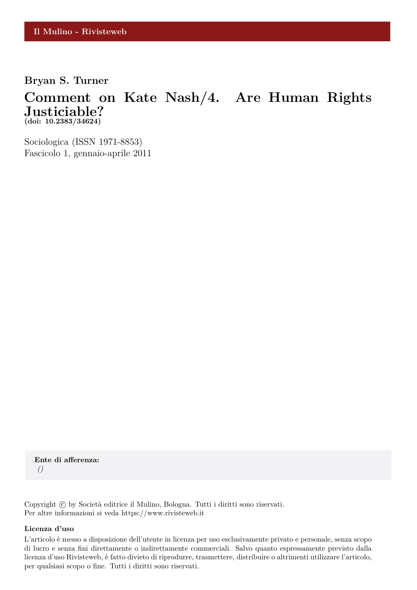### **Bryan S. Turner**

## **Comment on Kate Nash/4. Are Human Rights Justiciable? (doi: 10.2383/34624)**

Sociologica (ISSN 1971-8853) Fascicolo 1, gennaio-aprile 2011

**Ente di afferenza:** *()*

Copyright © by Società editrice il Mulino, Bologna. Tutti i diritti sono riservati. Per altre informazioni si veda https://www.rivisteweb.it

#### **Licenza d'uso**

L'articolo è messo a disposizione dell'utente in licenza per uso esclusivamente privato e personale, senza scopo di lucro e senza fini direttamente o indirettamente commerciali. Salvo quanto espressamente previsto dalla licenza d'uso Rivisteweb, è fatto divieto di riprodurre, trasmettere, distribuire o altrimenti utilizzare l'articolo, per qualsiasi scopo o fine. Tutti i diritti sono riservati.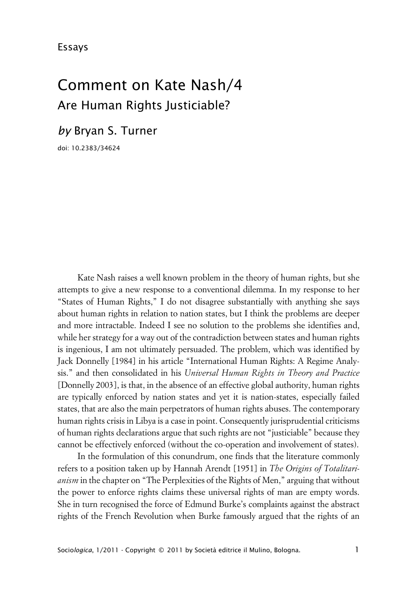# Comment on Kate Nash/4 Are Human Rights Justiciable?

*by* Bryan S. Turner

doi: 10.2383/34624

Kate Nash raises a well known problem in the theory of human rights, but she attempts to give a new response to a conventional dilemma. In my response to her "States of Human Rights," I do not disagree substantially with anything she says about human rights in relation to nation states, but I think the problems are deeper and more intractable. Indeed I see no solution to the problems she identifies and, while her strategy for a way out of the contradiction between states and human rights is ingenious, I am not ultimately persuaded. The problem, which was identified by Jack Donnelly [1984] in his article "International Human Rights: A Regime Analysis." and then consolidated in his *Universal Human Rights in Theory and Practice* [Donnelly 2003], is that, in the absence of an effective global authority, human rights are typically enforced by nation states and yet it is nation-states, especially failed states, that are also the main perpetrators of human rights abuses. The contemporary human rights crisis in Libya is a case in point. Consequently jurisprudential criticisms of human rights declarations argue that such rights are not "justiciable" because they cannot be effectively enforced (without the co-operation and involvement of states).

In the formulation of this conundrum, one finds that the literature commonly refers to a position taken up by Hannah Arendt [1951] in *The Origins of Totalitarianism* in the chapter on "The Perplexities of the Rights of Men," arguing that without the power to enforce rights claims these universal rights of man are empty words. She in turn recognised the force of Edmund Burke's complaints against the abstract rights of the French Revolution when Burke famously argued that the rights of an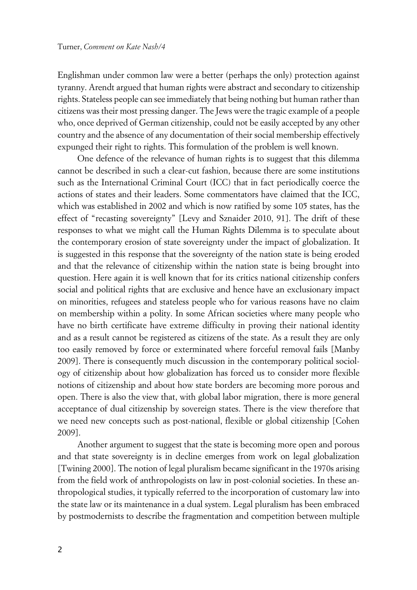Englishman under common law were a better (perhaps the only) protection against tyranny. Arendt argued that human rights were abstract and secondary to citizenship rights. Stateless people can see immediately that being nothing but human rather than citizens was their most pressing danger. The Jews were the tragic example of a people who, once deprived of German citizenship, could not be easily accepted by any other country and the absence of any documentation of their social membership effectively expunged their right to rights. This formulation of the problem is well known.

One defence of the relevance of human rights is to suggest that this dilemma cannot be described in such a clear-cut fashion, because there are some institutions such as the International Criminal Court (ICC) that in fact periodically coerce the actions of states and their leaders. Some commentators have claimed that the ICC, which was established in 2002 and which is now ratified by some 105 states, has the effect of "recasting sovereignty" [Levy and Sznaider 2010, 91]. The drift of these responses to what we might call the Human Rights Dilemma is to speculate about the contemporary erosion of state sovereignty under the impact of globalization. It is suggested in this response that the sovereignty of the nation state is being eroded and that the relevance of citizenship within the nation state is being brought into question. Here again it is well known that for its critics national citizenship confers social and political rights that are exclusive and hence have an exclusionary impact on minorities, refugees and stateless people who for various reasons have no claim on membership within a polity. In some African societies where many people who have no birth certificate have extreme difficulty in proving their national identity and as a result cannot be registered as citizens of the state. As a result they are only too easily removed by force or exterminated where forceful removal fails [Manby 2009]. There is consequently much discussion in the contemporary political sociology of citizenship about how globalization has forced us to consider more flexible notions of citizenship and about how state borders are becoming more porous and open. There is also the view that, with global labor migration, there is more general acceptance of dual citizenship by sovereign states. There is the view therefore that we need new concepts such as post-national, flexible or global citizenship [Cohen 2009].

Another argument to suggest that the state is becoming more open and porous and that state sovereignty is in decline emerges from work on legal globalization [Twining 2000]. The notion of legal pluralism became significant in the 1970s arising from the field work of anthropologists on law in post-colonial societies. In these anthropological studies, it typically referred to the incorporation of customary law into the state law or its maintenance in a dual system. Legal pluralism has been embraced by postmodernists to describe the fragmentation and competition between multiple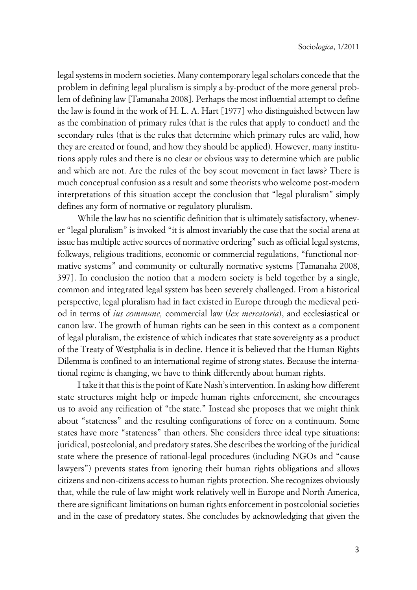legal systems in modern societies. Many contemporary legal scholars concede that the problem in defining legal pluralism is simply a by-product of the more general problem of defining law [Tamanaha 2008]. Perhaps the most influential attempt to define the law is found in the work of H. L. A. Hart [1977] who distinguished between law as the combination of primary rules (that is the rules that apply to conduct) and the secondary rules (that is the rules that determine which primary rules are valid, how they are created or found, and how they should be applied). However, many institutions apply rules and there is no clear or obvious way to determine which are public and which are not. Are the rules of the boy scout movement in fact laws? There is much conceptual confusion as a result and some theorists who welcome post-modern interpretations of this situation accept the conclusion that "legal pluralism" simply defines any form of normative or regulatory pluralism.

While the law has no scientific definition that is ultimately satisfactory, whenever "legal pluralism" is invoked "it is almost invariably the case that the social arena at issue has multiple active sources of normative ordering" such as official legal systems, folkways, religious traditions, economic or commercial regulations, "functional normative systems" and community or culturally normative systems [Tamanaha 2008, 397]. In conclusion the notion that a modern society is held together by a single, common and integrated legal system has been severely challenged. From a historical perspective, legal pluralism had in fact existed in Europe through the medieval period in terms of *ius commune,* commercial law (*lex mercatoria*), and ecclesiastical or canon law. The growth of human rights can be seen in this context as a component of legal pluralism, the existence of which indicates that state sovereignty as a product of the Treaty of Westphalia is in decline. Hence it is believed that the Human Rights Dilemma is confined to an international regime of strong states. Because the international regime is changing, we have to think differently about human rights.

I take it that this is the point of Kate Nash's intervention. In asking how different state structures might help or impede human rights enforcement, she encourages us to avoid any reification of "the state." Instead she proposes that we might think about "stateness" and the resulting configurations of force on a continuum. Some states have more "stateness" than others. She considers three ideal type situations: juridical, postcolonial, and predatory states. She describes the working of the juridical state where the presence of rational-legal procedures (including NGOs and "cause lawyers") prevents states from ignoring their human rights obligations and allows citizens and non-citizens access to human rights protection. She recognizes obviously that, while the rule of law might work relatively well in Europe and North America, there are significant limitations on human rights enforcement in postcolonial societies and in the case of predatory states. She concludes by acknowledging that given the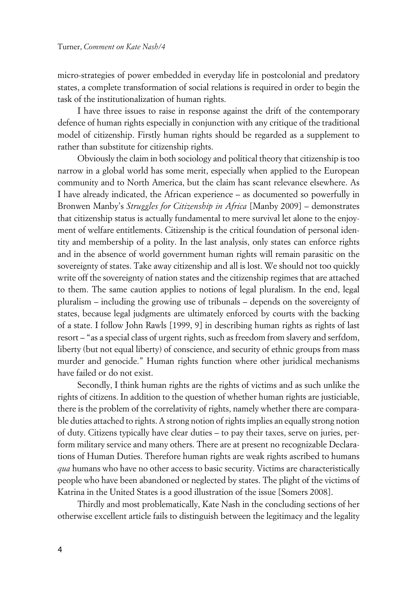micro-strategies of power embedded in everyday life in postcolonial and predatory states, a complete transformation of social relations is required in order to begin the task of the institutionalization of human rights.

I have three issues to raise in response against the drift of the contemporary defence of human rights especially in conjunction with any critique of the traditional model of citizenship. Firstly human rights should be regarded as a supplement to rather than substitute for citizenship rights.

Obviously the claim in both sociology and political theory that citizenship is too narrow in a global world has some merit, especially when applied to the European community and to North America, but the claim has scant relevance elsewhere. As I have already indicated, the African experience – as documented so powerfully in Bronwen Manby's *Struggles for Citizenship in Africa* [Manby 2009] – demonstrates that citizenship status is actually fundamental to mere survival let alone to the enjoyment of welfare entitlements. Citizenship is the critical foundation of personal identity and membership of a polity. In the last analysis, only states can enforce rights and in the absence of world government human rights will remain parasitic on the sovereignty of states. Take away citizenship and all is lost. We should not too quickly write off the sovereignty of nation states and the citizenship regimes that are attached to them. The same caution applies to notions of legal pluralism. In the end, legal pluralism – including the growing use of tribunals – depends on the sovereignty of states, because legal judgments are ultimately enforced by courts with the backing of a state. I follow John Rawls [1999, 9] in describing human rights as rights of last resort – "as a special class of urgent rights, such as freedom from slavery and serfdom, liberty (but not equal liberty) of conscience, and security of ethnic groups from mass murder and genocide." Human rights function where other juridical mechanisms have failed or do not exist.

Secondly, I think human rights are the rights of victims and as such unlike the rights of citizens. In addition to the question of whether human rights are justiciable, there is the problem of the correlativity of rights, namely whether there are comparable duties attached to rights. A strong notion of rights implies an equally strong notion of duty. Citizens typically have clear duties – to pay their taxes, serve on juries, perform military service and many others. There are at present no recognizable Declarations of Human Duties. Therefore human rights are weak rights ascribed to humans *qua* humans who have no other access to basic security. Victims are characteristically people who have been abandoned or neglected by states. The plight of the victims of Katrina in the United States is a good illustration of the issue [Somers 2008].

Thirdly and most problematically, Kate Nash in the concluding sections of her otherwise excellent article fails to distinguish between the legitimacy and the legality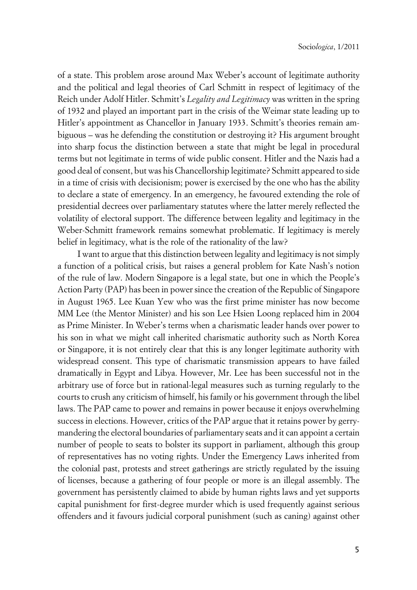of a state. This problem arose around Max Weber's account of legitimate authority and the political and legal theories of Carl Schmitt in respect of legitimacy of the Reich under Adolf Hitler. Schmitt's *Legality and Legitimacy* was written in the spring of 1932 and played an important part in the crisis of the Weimar state leading up to Hitler's appointment as Chancellor in January 1933. Schmitt's theories remain ambiguous – was he defending the constitution or destroying it? His argument brought into sharp focus the distinction between a state that might be legal in procedural terms but not legitimate in terms of wide public consent. Hitler and the Nazis had a good deal of consent, but was his Chancellorship legitimate? Schmitt appeared to side in a time of crisis with decisionism; power is exercised by the one who has the ability to declare a state of emergency. In an emergency, he favoured extending the role of presidential decrees over parliamentary statutes where the latter merely reflected the volatility of electoral support. The difference between legality and legitimacy in the Weber-Schmitt framework remains somewhat problematic. If legitimacy is merely belief in legitimacy, what is the role of the rationality of the law?

I want to argue that this distinction between legality and legitimacy is not simply a function of a political crisis, but raises a general problem for Kate Nash's notion of the rule of law. Modern Singapore is a legal state, but one in which the People's Action Party (PAP) has been in power since the creation of the Republic of Singapore in August 1965. Lee Kuan Yew who was the first prime minister has now become MM Lee (the Mentor Minister) and his son Lee Hsien Loong replaced him in 2004 as Prime Minister. In Weber's terms when a charismatic leader hands over power to his son in what we might call inherited charismatic authority such as North Korea or Singapore, it is not entirely clear that this is any longer legitimate authority with widespread consent. This type of charismatic transmission appears to have failed dramatically in Egypt and Libya. However, Mr. Lee has been successful not in the arbitrary use of force but in rational-legal measures such as turning regularly to the courts to crush any criticism of himself, his family or his government through the libel laws. The PAP came to power and remains in power because it enjoys overwhelming success in elections. However, critics of the PAP argue that it retains power by gerrymandering the electoral boundaries of parliamentary seats and it can appoint a certain number of people to seats to bolster its support in parliament, although this group of representatives has no voting rights. Under the Emergency Laws inherited from the colonial past, protests and street gatherings are strictly regulated by the issuing of licenses, because a gathering of four people or more is an illegal assembly. The government has persistently claimed to abide by human rights laws and yet supports capital punishment for first-degree murder which is used frequently against serious offenders and it favours judicial corporal punishment (such as caning) against other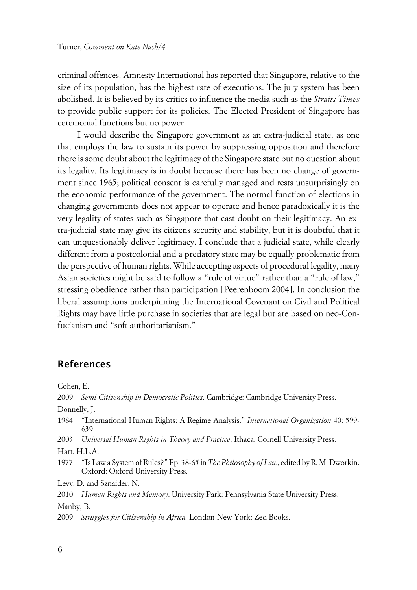criminal offences. Amnesty International has reported that Singapore, relative to the size of its population, has the highest rate of executions. The jury system has been abolished. It is believed by its critics to influence the media such as the *Straits Times* to provide public support for its policies. The Elected President of Singapore has ceremonial functions but no power.

I would describe the Singapore government as an extra-judicial state, as one that employs the law to sustain its power by suppressing opposition and therefore there is some doubt about the legitimacy of the Singapore state but no question about its legality. Its legitimacy is in doubt because there has been no change of government since 1965; political consent is carefully managed and rests unsurprisingly on the economic performance of the government. The normal function of elections in changing governments does not appear to operate and hence paradoxically it is the very legality of states such as Singapore that cast doubt on their legitimacy. An extra-judicial state may give its citizens security and stability, but it is doubtful that it can unquestionably deliver legitimacy. I conclude that a judicial state, while clearly different from a postcolonial and a predatory state may be equally problematic from the perspective of human rights. While accepting aspects of procedural legality, many Asian societies might be said to follow a "rule of virtue" rather than a "rule of law," stressing obedience rather than participation [Peerenboom 2004]. In conclusion the liberal assumptions underpinning the International Covenant on Civil and Political Rights may have little purchase in societies that are legal but are based on neo-Confucianism and "soft authoritarianism."

### **References**

Cohen, E.

2009 *Semi-Citizenship in Democratic Politics.* Cambridge: Cambridge University Press.

Donnelly, J.

1984 "International Human Rights: A Regime Analysis." *International Organization* 40: 599- 639.

2003 *Universal Human Rights in Theory and Practice*. Ithaca: Cornell University Press.

Hart, H.L.A.

1977 "Is Law a System of Rules?" Pp. 38-65 in *The Philosophy of Law*, edited by R. M. Dworkin. Oxford: Oxford University Press.

Levy, D. and Sznaider, N.

2010 *Human Rights and Memory*. University Park: Pennsylvania State University Press.

Manby, B.

2009 *Struggles for Citizenship in Africa.* London-New York: Zed Books.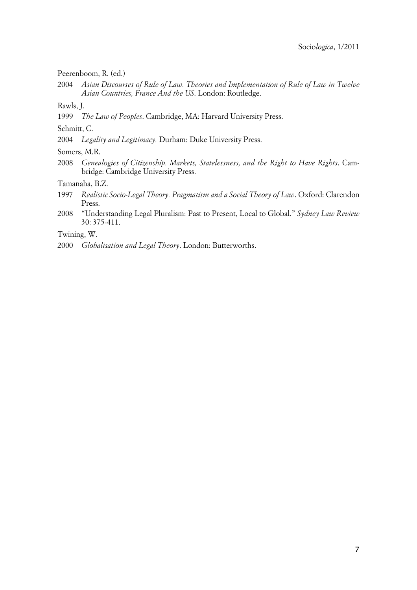Peerenboom, R. (ed.)

2004 *Asian Discourses of Rule of Law. Theories and Implementation of Rule of Law in Twelve Asian Countries, France And the US*. London: Routledge.

Rawls, J.

1999 *The Law of Peoples*. Cambridge, MA: Harvard University Press.

Schmitt, C.

2004 *Legality and Legitimacy.* Durham: Duke University Press.

Somers, M.R.

2008 *Genealogies of Citizenship. Markets, Statelessness, and the Right to Have Rights*. Cambridge: Cambridge University Press.

Tamanaha, B.Z.

- 1997 *Realistic Socio-Legal Theory. Pragmatism and a Social Theory of Law*. Oxford: Clarendon Press.
- 2008 "Understanding Legal Pluralism: Past to Present, Local to Global." *Sydney Law Review* 30: 375-411.

Twining, W.

2000 *Globalisation and Legal Theory*. London: Butterworths.